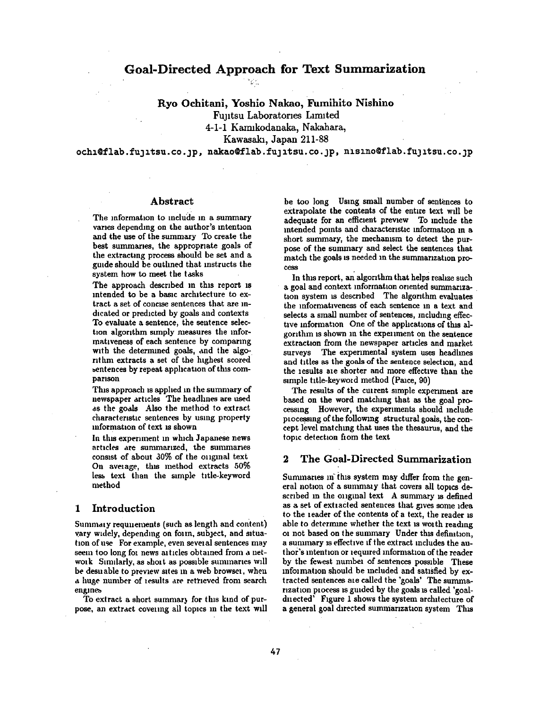# **Goal-Directed Approach for Text Summarization**

## Ryo Ochitani, Yoshio Nakao, Fumihito Nishino

Funtsu Laboratories Limited

4-1-1 Karmkodanaka, Nakahara,

Kawasakh Japan **211-88** 

och1@flab.fu 1tsu.co. jp, nakao@flab.fu 1tsu.co. jp, nisino@flab.fu 3 itsu.co. 3p

## Abstract

The information to include in a summary varies depending on the author's intention and the use of the summary To create the best summaries, the appropriate goals of the extracting process should be set and a guide should be outlined that instructs the system how to meet the tasks

The approach described in this report is intended to be a basic archltecture to extract a set of concise sentences that are indicated or predlcted by goals and contexts To evaluate a sentence, the sentence selection algorithm simply measures the mformatlveness of each sentence by comparing with the determined goals, and the algorithm extracts a set of the highest scored sentences by repeat application of this comparison

This approach is applied in the summary of newspaper articles The headlines are used as the goals Also the method to extract characteristic sentences by using property mformatlon of text is shown

In this experiment in which Japanese news articles are summarized, the summaries consist of about 30% of the original text On average, this method extracts 50% less text than the simple title-keyword method

#### 1 Introduction

Summaly requnements (such as length and content) vary widely, depending on form, subject, and situation of use For example, even sevelal sentences may seem too long for news articles obtained from a network Similarly, as short as possible summaries will be desuable to preview sites in a web browsel, when a huge number of lesults are retrieved from search engines

To extract a short summar} for this kind of purpose, an extract coveuug all topics in the text wall

be too long Using small number of sentences to extrapolate the contents of the entire text will be adequate for an efficient preview To include the intended points and characteristic information in a short summary, the mechamsm to detect the purpose of the summary and select the sentences that match the goals is needed in the summanization process

In this report, an algorithm that helps realize such a goal and context information oriented summarization system is described The algorithm evaluates the informativeness of each sentence m a text and selects a small number of sentences, mcludmg effective information One of the applications of this algorithm is shown in the experiment on the sentence extraction from the newspaper articles and market surveys The experimental system uses headhnes and titles as the goals of the sentence selection, and the lesults ale shorter and more effective than the simple title-keyword method (Paice, 90)

The results of the current simple experiment are based on the word matching that as the goal processmg However, the experiments should include plocessing of the following structural goals, the concept level matching that uses the thesaurus, and the topic detection from the text

## 2 The Goal-Directed Summarization

Summaries in this system may differ from the general notion of a summary that covers all topics described in the oniginal text A summary is defined as a set of extracted sentences that gives some idea to the reader of the contents of a text, the reader is able to determine whether the text is worth reading or not based on the summary Under this definition. a summary is effective if the extract includes the author's intention or required information of the reader by the fewest number of sentences possible These information should be included and satisfied by extracted sentences ale called the 'goals' The summarization process is guided by the goals is called 'goaldnected' Figure 1 shows the system architecture of a general goal directed summarization system This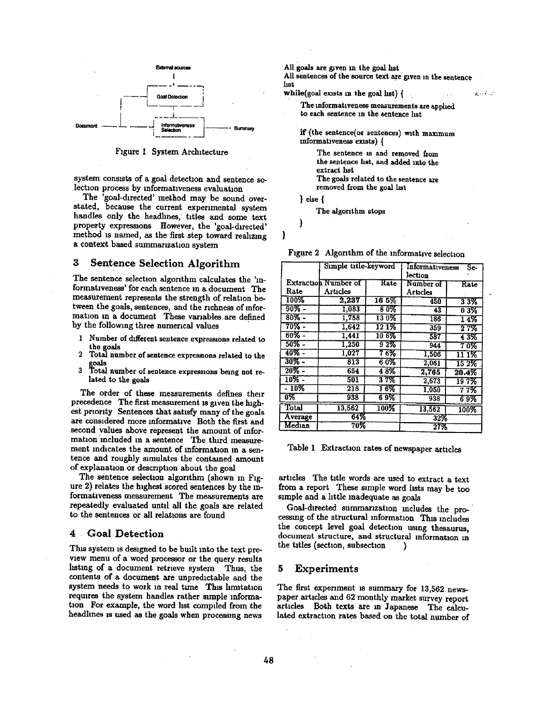

Figure 1 System Architecture

system consists of a goal detection and sentence selection process by informativeness evaluation

The 'goal-directed' method may be sound overstated, because the current experimental system handles only the headlines, titles and some text property expressions However, the 'goal-directed' <br>method is named, as the first step toward realizing } method is named, as the first step toward realizing a context based summarization system

## **3** Sentence Selection Algorithm

The sentence selection algorithm calculates the 'informativeness' for each sentence in a document The measurement represents the strength of relation between the goals, sentences, and the richness of information in a document These variables are defined by the following three numerical values

- 1 Number of different sentence expressions related to the goals
- 2 Total number of sentence expressmns related to the goals
- 3 Total number of sentence expressions being not related to the goals

The order of these measurements defines their precedence The first measurement is given the highest priority Sentences that satisfy many of the goals are considered more informative Both the first and second values above represent the amount of information included in a sentence The third measurement indicates the amount of information in a sentence and roughly simulates the contained amount of explanation or description about the goal

The sentence selection algorithm (shown in Figure 2) relates the highest scored sentences by the informativeness measurement The measurements are repeatedly evaluated until all the goals are related to the sentences or all relations are found

## **4 , Goal Detection**

This system is designed to be built into the text preview menu of a word processor or the query results hstmg of a document retneve system Thus, the contents of a document are unpredictable and the system needs to work in real time This limitation requires the system handles rather simple information For example, the word list compiled from the headlines is used as the goals when processing news

All goals are given in the goal list All sentences of the source text axe given m the sentence hst while(goal exists in the goal list)  $\{$  $\tilde{K}$  and  $\tilde{K}$ The informativeness measurements are apphed to each sentence in the sentence list if (the sentence(or sentences) with maximum informativeness exists) { The sentence is and removed from **the** sentence hst, and added into the extract hst The goals related to the sentence axe removed from the goal hst **} e~e{**  The algonthm stops

Figure 2 Algonthm of the mformahve selection

|          | Simple title-keyword        |             | Informativeness<br>Se-<br>lection |          |
|----------|-----------------------------|-------------|-----------------------------------|----------|
|          | <b>Extraction Number of</b> | Rate        | Number of                         | Rate     |
| Rate     | Articles                    |             | Articles                          |          |
| 100%     | 2.237                       | 165%        | 450                               | 33%      |
| $90\%$ - | 1.083                       | 80%         | 43                                | $0.3\%$  |
| $80\%$ - | 1,758                       | 130%        | 186                               | 14%      |
| $70\%$ - | 1.642                       | $12 \, 1\%$ | 359                               | 27%      |
| $60\%$ - | 1.441                       | 10 6%       | 587                               | 43%      |
| $50\%$ - | 1,250                       | $9.2\%$     | 944                               | 70%      |
| $40\%$ - | 1.027                       | 76%         | 1,506                             | 11 1%    |
| $30\%$ - | 813                         | 60%         | 2,061                             | $15.2\%$ |
| $20\%$ - | 654                         | 48%         | 2,765                             | 20.4%    |
| $10\%$ - | 501                         | 37%         | 2,673                             | 197%     |
| $-10\%$  | 218                         | 16%         | 1,050                             | 77%      |
| 0%       | 938                         | 69%         | 938                               | 69%      |
| Total    | 13,562                      | 100%        | 13.562                            | 100%     |
| Average  | 64%                         |             | 32%                               |          |
| Median   | 70%                         |             | 27%                               |          |

Table 1 Extraction rates of newspaper articles

articles The title words are used to extract a text from a report These simple word hsts may be too simple and a httle inadequate as goals

Goal-directed summanization includes the processing of the structural information This includes the concept level goal detechon using thesaurus, document structure, and structural information in the titles (section, subsection )

## 5 Experiments

The first experiment is summary for 13,562 newspaper articles and 62 monthly market survey report articles Both texts are in Japanese The calculated extraction rates based on the total number of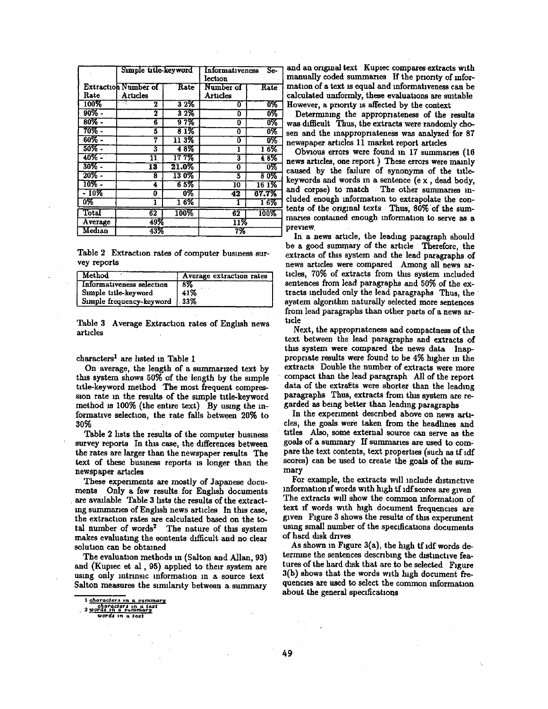|                           | Simple title-keyword |            | Informativeness<br>Se-<br>lection |        |
|---------------------------|----------------------|------------|-----------------------------------|--------|
|                           | Extraction Number of | Rate       | Number of                         | Rate   |
| Rate                      | Articles             |            | Articles                          |        |
| 100%                      | राजा<br>2            | 32%        | 0                                 | 0%     |
| $90\%$ -                  | 2                    | 32%        | 0                                 | 6%     |
| $80\%$ -                  | 6                    | <b>97%</b> | 0                                 | 0%     |
| 70% -                     | 5                    | 81%        | Ō                                 | 0%     |
| $60\%$ -                  | 7                    | 113%       | 0                                 | 0%     |
| $50\%$ -                  | 3                    | 48%        | 1                                 | $16\%$ |
| $40\%$ -                  | 11                   | 177%       | 3                                 | 48%    |
| $30\%$ -                  | 13                   | $21.0\%$   | 0                                 | ०%     |
| $20\%$ -                  | 8                    | 130%       | 5                                 | 80%    |
| $10\%$ -                  | 4                    | 6 5%       | 10                                | 161%   |
| $-10\%$                   | Ō                    | 0%         | 42                                | 67.7%  |
| $\overline{0\%}$          | ı                    | 16%        |                                   | 16%    |
| $\overline{\text{Total}}$ | 62                   | 100%       | 62                                | 100%   |
| Average                   | 49%                  |            | 11%                               |        |
| Median                    | 43%                  |            | 7%                                |        |

Table 2 Extraction rates of computer business survey reports

| $\blacksquare$ Method     | Average extraction rates |
|---------------------------|--------------------------|
| Informativeness selection | 8%                       |
| Simple title-keyword      | 41%                      |
| Simple frequency-keyword  | 1.33%                    |

Table 3 Average Extraction rates of English news articles

#### characters<sup>1</sup> are listed in Table 1

On average, the length of a summarized text by this system shows 50% of the length by the simple title-keyword method The most frequent compression rate in the results of the simple title-keyword method is 100% (the entire text) By using the informative selection, the rate falls between 20% to 30%

Table 2 lists the results of the computer business survey reports In this case, the differences between the rates are larger than the newspaper results The text of these business reports is longer than the newspaper articles

These experiments are mostly of Japanese documents Only a few results for English documents are available Table 3 lists the results of the extracting summaries of English news articles In this case, the extraction rates are calculated based on the total number of words<sup>2</sup> The nature of this system makes evaluating the contents difficult and no clear solution can be obtained

The evaluation methods in (Salton and Allan, 93) and (Kupiec et al, 95) applied to their system are using only intrinsic information in a source text Salton measures the similarity between a summary

 $\bar{z}$ 

and an original text Kupiec compares extracts with manually coded summaries If the priority of information of a text is equal and informativeness can be calculated uniformly, these evaluations are suitable However, a priority is affected by the context

Determining the appropriateness of the results was difficult Thus, the extracts were randomly chosen and the inappropriateness was analyzed for 87 newspaper articles 11 market report articles

Obvious errors were found in 17 summaries (16 news articles, one report) These errors were mainly caused by the failure of synonyms of the titlekeywords and words in a sentence (ex, dead body, and corpse) to match The other summaries included enough information to extrapolate the contents of the original texts Thus, 80% of the summaries contained enough information to serve as a preview.

In a news article, the leading paragraph should be a good summary of the article Therefore, the extracts of this system and the lead paragraphs of news articles were compared Among all news articles. 70% of extracts from this system included sentences from lead paragraphs and 50% of the extracts included only the lead paragraphs Thus, the system algorithm naturally selected more sentences from lead paragraphs than other parts of a news article

Next, the appropriateness and compactness of the text between the lead paragraphs and extracts of this system were compared the news data Inappropriate results were found to be 4% higher in the extracts Double the number of extracts were more compact than the lead paragraph All of the report data of the extracts were shorter than the leading paragraphs Thus, extracts from this system are regarded as being better than leading paragraphs

In the experiment described above on news articles, the goals were taken from the headlines and titles Also, some external source can serve as the goals of a summary If summaries are used to compare the text contents, text properties (such as tf idf scores) can be used to create the goals of the summary

For example, the extracts will include distinctive information if words with high tf idf scores are given The extracts will show the common information of text if words with high document frequencies are given Figure 3 shows the results of this experiment using small number of the specifications documents of hard disk drives

As shown in Figure 3(a), the high if idf words determine the sentences describing the distinctive features of the hard disk that are to be selected Figure 3(b) shows that the words with high document frequencies are used to select the common information about the general specifications

<sup>1</sup> characters in a summary

<sup>2</sup> words in a summary<br>words in a summary